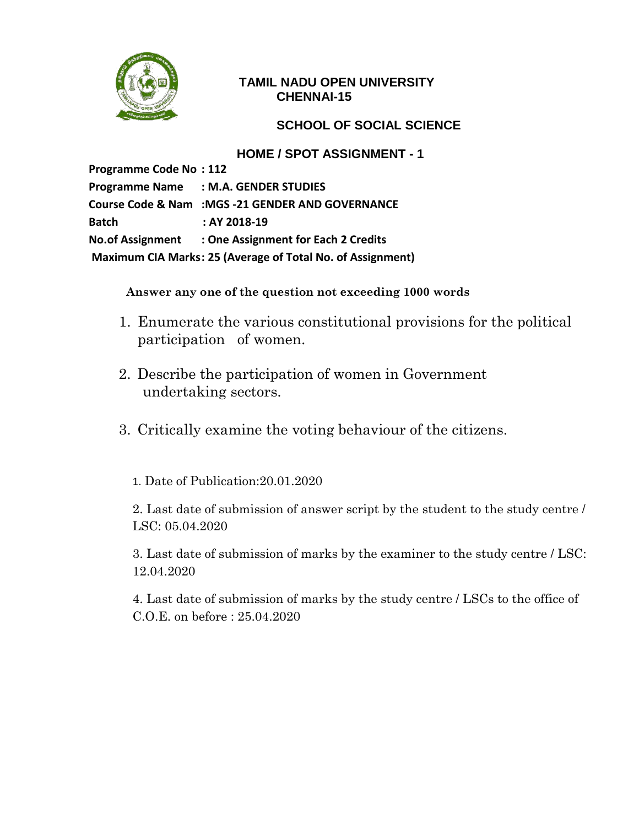

### **TAMIL NADU OPEN UNIVERSITY CHENNAI-15**

### **SCHOOL OF SOCIAL SCIENCE**

#### **HOME / SPOT ASSIGNMENT - 1**

**Programme Code No : 112 Programme Name : M.A. GENDER STUDIES Course Code & Nam :MGS -21 GENDER AND GOVERNANCE Batch : AY 2018-19 No.of Assignment : One Assignment for Each 2 Credits Maximum CIA Marks: 25 (Average of Total No. of Assignment)**

**Answer any one of the question not exceeding 1000 words**

- 1. Enumerate the various constitutional provisions for the political participation of women.
- 2. Describe the participation of women in Government undertaking sectors.
- 3. Critically examine the voting behaviour of the citizens.
	- 1. Date of Publication:20.01.2020

2. Last date of submission of answer script by the student to the study centre / LSC: 05.04.2020

3. Last date of submission of marks by the examiner to the study centre / LSC: 12.04.2020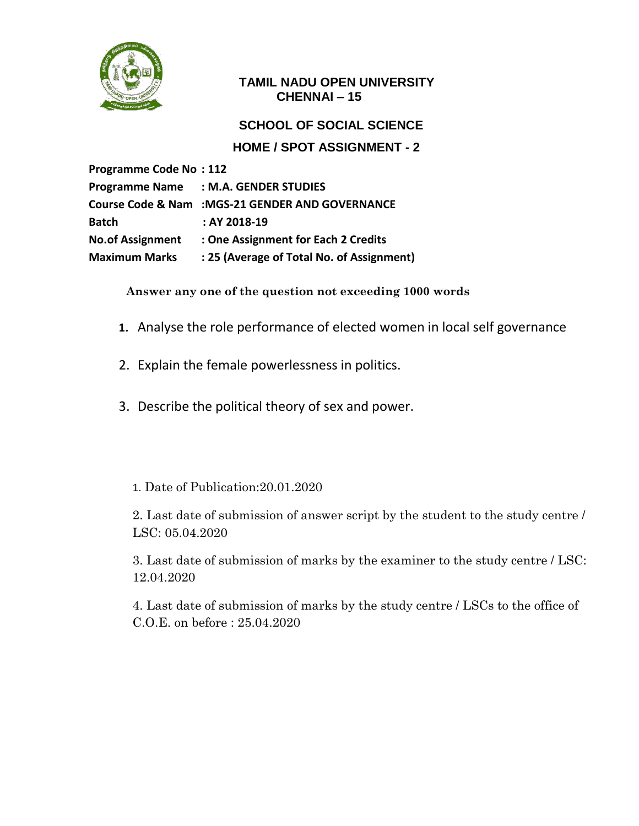

#### **TAMIL NADU OPEN UNIVERSITY CHENNAI – 15**

# **SCHOOL OF SOCIAL SCIENCE HOME / SPOT ASSIGNMENT - 2**

**Programme Code No : 112 Programme Name : M.A. GENDER STUDIES Course Code & Nam :MGS-21 GENDER AND GOVERNANCE Batch : AY 2018-19 No.of Assignment : One Assignment for Each 2 Credits Maximum Marks : 25 (Average of Total No. of Assignment)**

**Answer any one of the question not exceeding 1000 words**

- **1.** Analyse the role performance of elected women in local self governance
- 2. Explain the female powerlessness in politics.
- 3. Describe the political theory of sex and power.

# 1. Date of Publication:20.01.2020

2. Last date of submission of answer script by the student to the study centre / LSC: 05.04.2020

3. Last date of submission of marks by the examiner to the study centre / LSC: 12.04.2020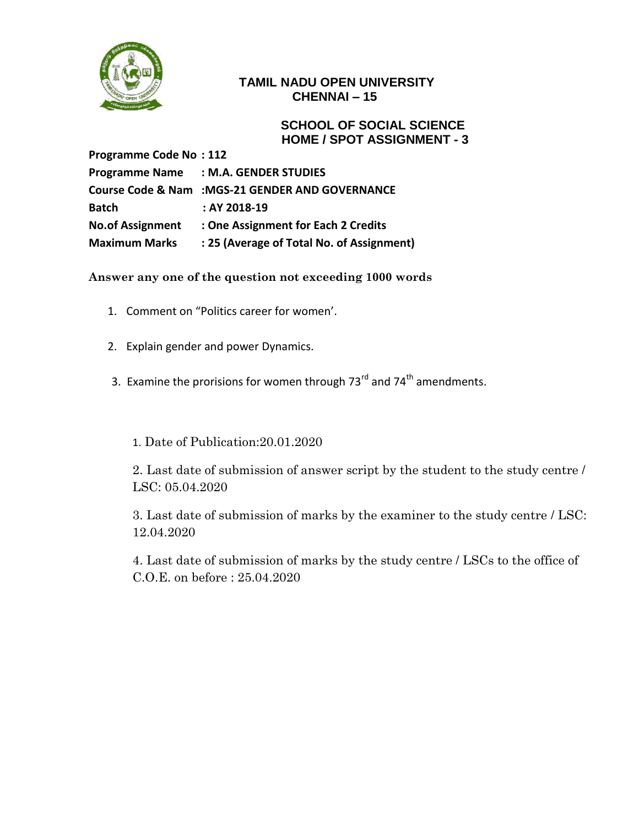

#### **TAMIL NADU OPEN UNIVERSITY CHENNAI – 15**

 **SCHOOL OF SOCIAL SCIENCE HOME / SPOT ASSIGNMENT - 3**

**Programme Code No : 112 Programme Name : M.A. GENDER STUDIES Course Code & Nam :MGS-21 GENDER AND GOVERNANCE Batch : AY 2018-19 No.of Assignment : One Assignment for Each 2 Credits Maximum Marks : 25 (Average of Total No. of Assignment)**

**Answer any one of the question not exceeding 1000 words**

- 1. Comment on "Politics career for women'.
- 2. Explain gender and power Dynamics.
- 3. Examine the prorisions for women through  $73<sup>rd</sup>$  and  $74<sup>th</sup>$  amendments.
	- 1. Date of Publication:20.01.2020

2. Last date of submission of answer script by the student to the study centre / LSC: 05.04.2020

3. Last date of submission of marks by the examiner to the study centre / LSC: 12.04.2020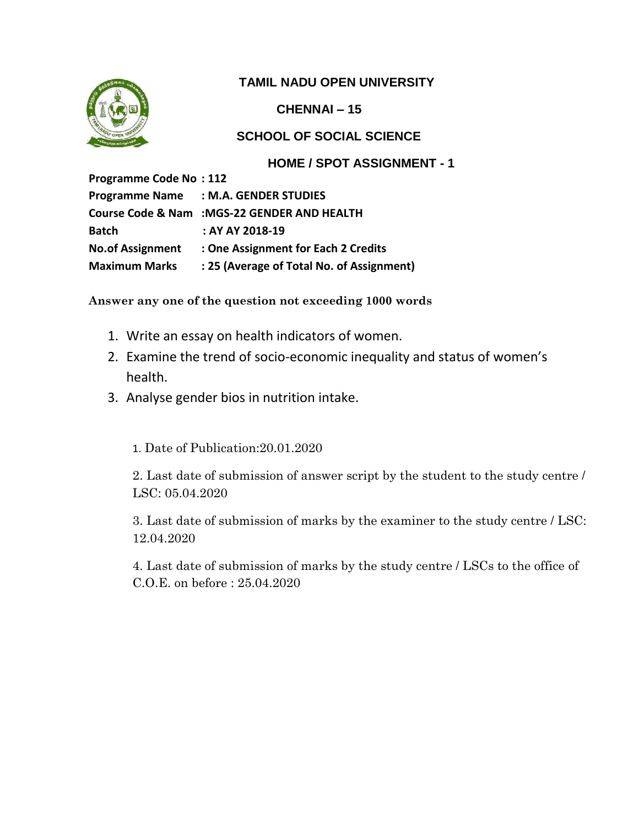

**CHENNAI – 15**

# **SCHOOL OF SOCIAL SCIENCE**

### **HOME / SPOT ASSIGNMENT - 1**

**Programme Code No : 112 Programme Name : M.A. GENDER STUDIES Course Code & Nam :MGS-22 GENDER AND HEALTH Batch : AY AY 2018-19 No.of Assignment : One Assignment for Each 2 Credits Maximum Marks : 25 (Average of Total No. of Assignment)**

**Answer any one of the question not exceeding 1000 words**

- 1. Write an essay on health indicators of women.
- 2. Examine the trend of socio-economic inequality and status of women's health.
- 3. Analyse gender bios in nutrition intake.

1. Date of Publication:20.01.2020

2. Last date of submission of answer script by the student to the study centre / LSC: 05.04.2020

3. Last date of submission of marks by the examiner to the study centre / LSC: 12.04.2020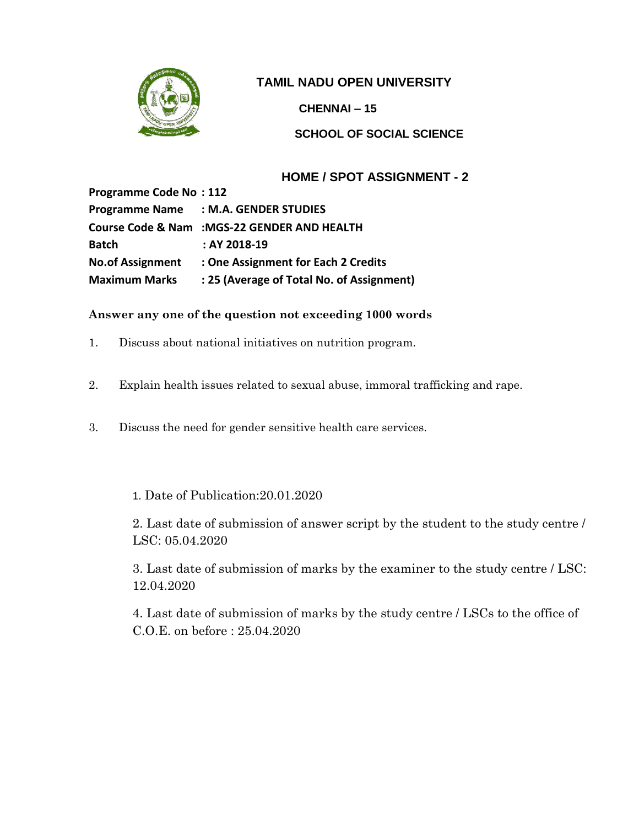

**CHENNAI – 15**

**SCHOOL OF SOCIAL SCIENCE**

### **HOME / SPOT ASSIGNMENT - 2**

**Programme Code No : 112 Programme Name : M.A. GENDER STUDIES Course Code & Nam :MGS-22 GENDER AND HEALTH Batch : AY 2018-19 No.of Assignment : One Assignment for Each 2 Credits Maximum Marks : 25 (Average of Total No. of Assignment)**

#### **Answer any one of the question not exceeding 1000 words**

- 1. Discuss about national initiatives on nutrition program.
- 2. Explain health issues related to sexual abuse, immoral trafficking and rape.
- 3. Discuss the need for gender sensitive health care services.

#### 1. Date of Publication:20.01.2020

2. Last date of submission of answer script by the student to the study centre / LSC: 05.04.2020

3. Last date of submission of marks by the examiner to the study centre / LSC: 12.04.2020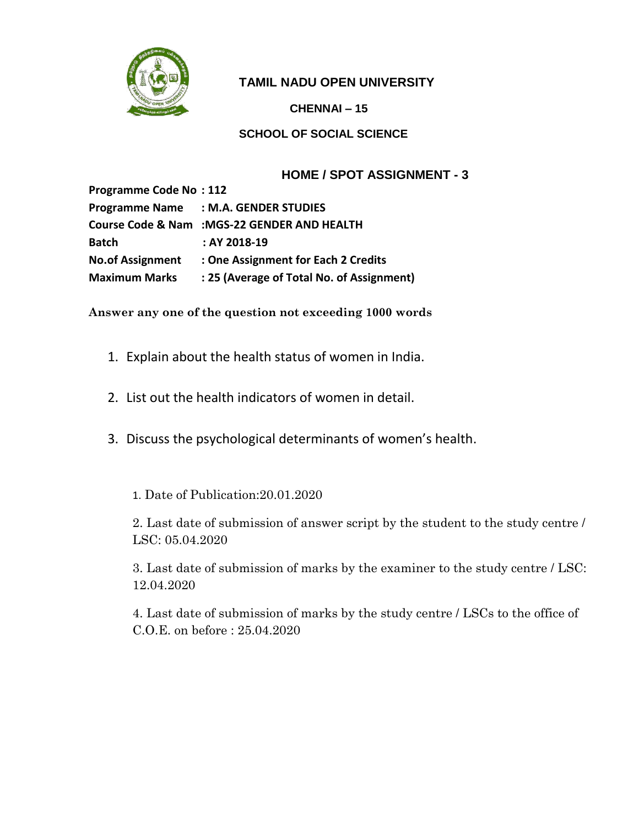

**CHENNAI – 15**

**SCHOOL OF SOCIAL SCIENCE**

# **HOME / SPOT ASSIGNMENT - 3**

| <b>Programme Code No: 112</b> |                                              |
|-------------------------------|----------------------------------------------|
|                               | Programme Name : M.A. GENDER STUDIES         |
|                               | Course Code & Nam : MGS-22 GENDER AND HEALTH |
| <b>Batch</b>                  | $: AY 2018-19$                               |
| <b>No.of Assignment</b>       | : One Assignment for Each 2 Credits          |
| <b>Maximum Marks</b>          | : 25 (Average of Total No. of Assignment)    |

**Answer any one of the question not exceeding 1000 words**

- 1. Explain about the health status of women in India.
- 2. List out the health indicators of women in detail.
- 3. Discuss the psychological determinants of women's health.
	- 1. Date of Publication:20.01.2020

2. Last date of submission of answer script by the student to the study centre / LSC: 05.04.2020

3. Last date of submission of marks by the examiner to the study centre / LSC: 12.04.2020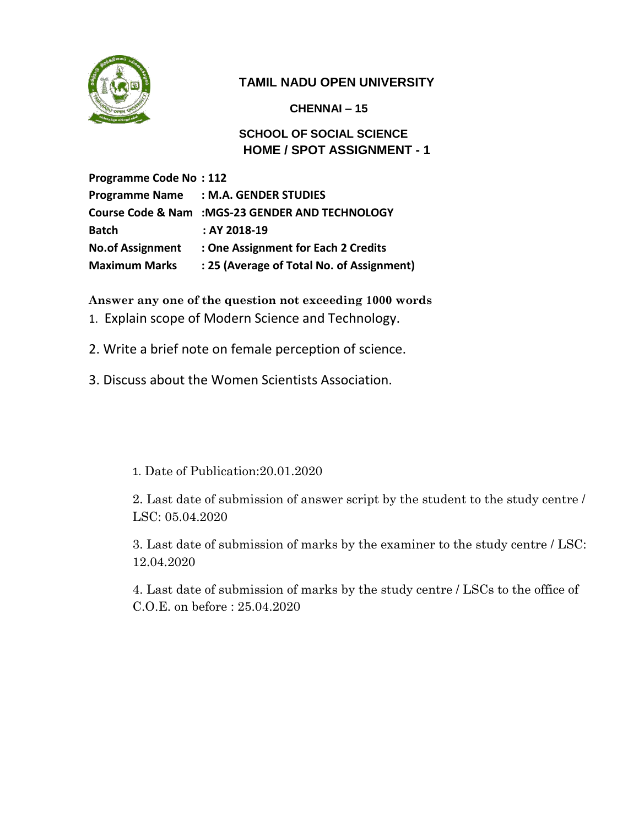

**CHENNAI – 15**

**SCHOOL OF SOCIAL SCIENCE HOME / SPOT ASSIGNMENT - 1**

**Programme Code No : 112 Programme Name : M.A. GENDER STUDIES Course Code & Nam :MGS-23 GENDER AND TECHNOLOGY Batch : AY 2018-19 No.of Assignment : One Assignment for Each 2 Credits Maximum Marks : 25 (Average of Total No. of Assignment)**

**Answer any one of the question not exceeding 1000 words**

- 1. Explain scope of Modern Science and Technology.
- 2. Write a brief note on female perception of science.
- 3. Discuss about the Women Scientists Association.

1. Date of Publication:20.01.2020

2. Last date of submission of answer script by the student to the study centre / LSC: 05.04.2020

3. Last date of submission of marks by the examiner to the study centre / LSC: 12.04.2020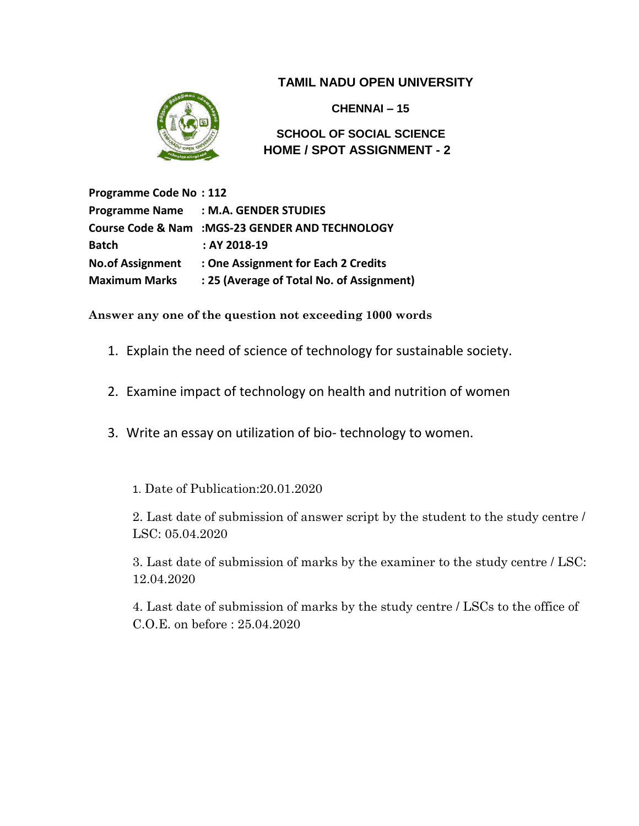

 **CHENNAI – 15**

**SCHOOL OF SOCIAL SCIENCE HOME / SPOT ASSIGNMENT - 2**

**Programme Code No : 112 Programme Name : M.A. GENDER STUDIES Course Code & Nam :MGS-23 GENDER AND TECHNOLOGY Batch : AY 2018-19 No.of Assignment : One Assignment for Each 2 Credits Maximum Marks : 25 (Average of Total No. of Assignment)**

**Answer any one of the question not exceeding 1000 words**

- 1. Explain the need of science of technology for sustainable society.
- 2. Examine impact of technology on health and nutrition of women
- 3. Write an essay on utilization of bio- technology to women.

1. Date of Publication:20.01.2020

2. Last date of submission of answer script by the student to the study centre / LSC: 05.04.2020

3. Last date of submission of marks by the examiner to the study centre / LSC: 12.04.2020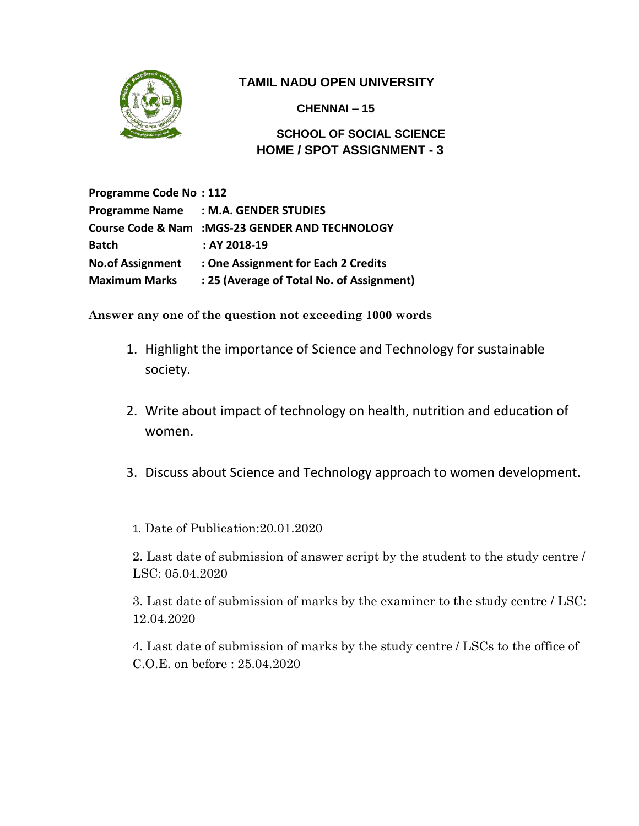

 **CHENNAI – 15**

### **SCHOOL OF SOCIAL SCIENCE HOME / SPOT ASSIGNMENT - 3**

**Programme Code No : 112 Programme Name : M.A. GENDER STUDIES Course Code & Nam :MGS-23 GENDER AND TECHNOLOGY Batch : AY 2018-19 No.of Assignment : One Assignment for Each 2 Credits Maximum Marks : 25 (Average of Total No. of Assignment)**

**Answer any one of the question not exceeding 1000 words**

- 1. Highlight the importance of Science and Technology for sustainable society.
- 2. Write about impact of technology on health, nutrition and education of women.
- 3. Discuss about Science and Technology approach to women development.

1. Date of Publication:20.01.2020

2. Last date of submission of answer script by the student to the study centre / LSC: 05.04.2020

3. Last date of submission of marks by the examiner to the study centre / LSC: 12.04.2020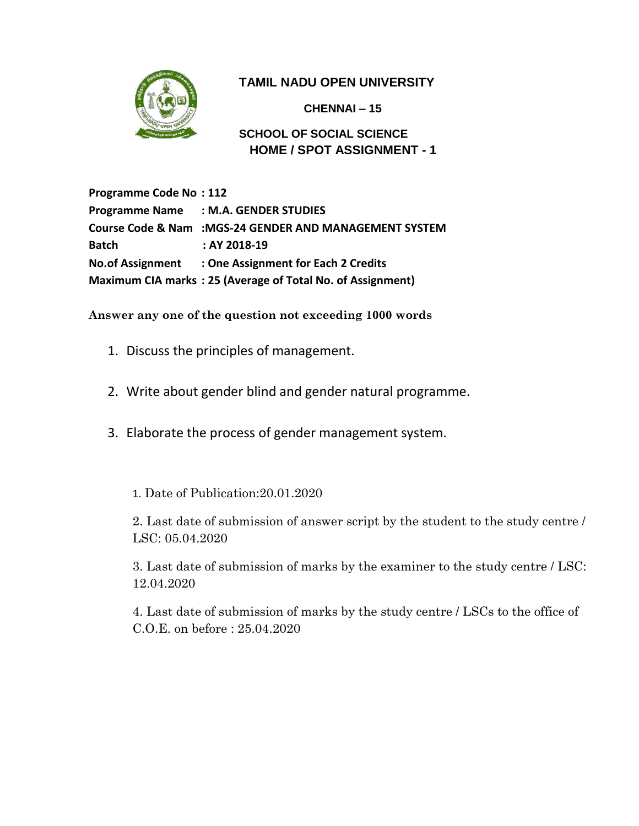

 **CHENNAI – 15**

**SCHOOL OF SOCIAL SCIENCE HOME / SPOT ASSIGNMENT - 1** 

**Programme Code No : 112 Programme Name : M.A. GENDER STUDIES Course Code & Nam :MGS-24 GENDER AND MANAGEMENT SYSTEM Batch : AY 2018-19 No.of Assignment : One Assignment for Each 2 Credits Maximum CIA marks : 25 (Average of Total No. of Assignment)**

**Answer any one of the question not exceeding 1000 words**

- 1. Discuss the principles of management.
- 2. Write about gender blind and gender natural programme.
- 3. Elaborate the process of gender management system.
	- 1. Date of Publication:20.01.2020

2. Last date of submission of answer script by the student to the study centre / LSC: 05.04.2020

3. Last date of submission of marks by the examiner to the study centre / LSC: 12.04.2020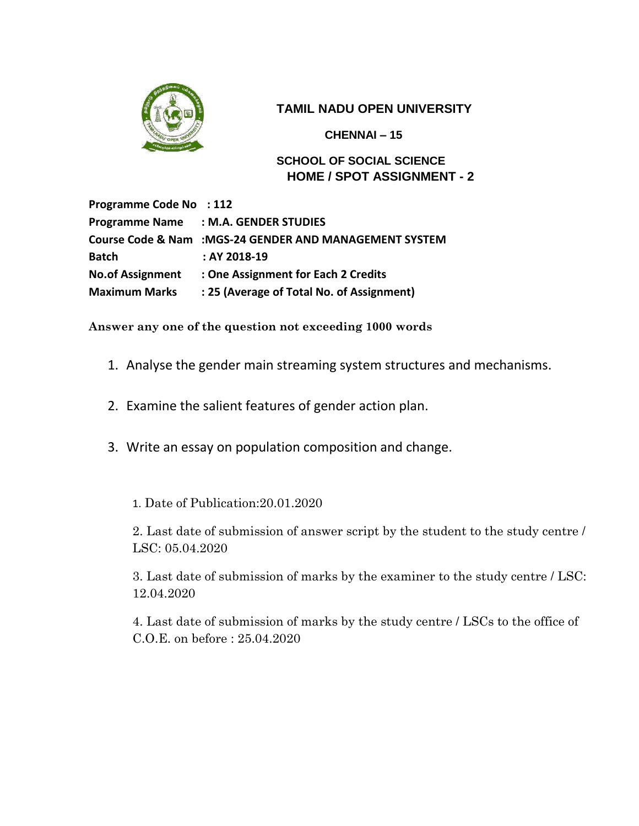

 **CHENNAI – 15**

**SCHOOL OF SOCIAL SCIENCE HOME / SPOT ASSIGNMENT - 2** 

**Programme Code No : 112 Programme Name : M.A. GENDER STUDIES Course Code & Nam :MGS-24 GENDER AND MANAGEMENT SYSTEM Batch : AY 2018-19 No.of Assignment : One Assignment for Each 2 Credits Maximum Marks : 25 (Average of Total No. of Assignment)**

**Answer any one of the question not exceeding 1000 words**

- 1. Analyse the gender main streaming system structures and mechanisms.
- 2. Examine the salient features of gender action plan.
- 3. Write an essay on population composition and change.

1. Date of Publication:20.01.2020

2. Last date of submission of answer script by the student to the study centre / LSC: 05.04.2020

3. Last date of submission of marks by the examiner to the study centre / LSC: 12.04.2020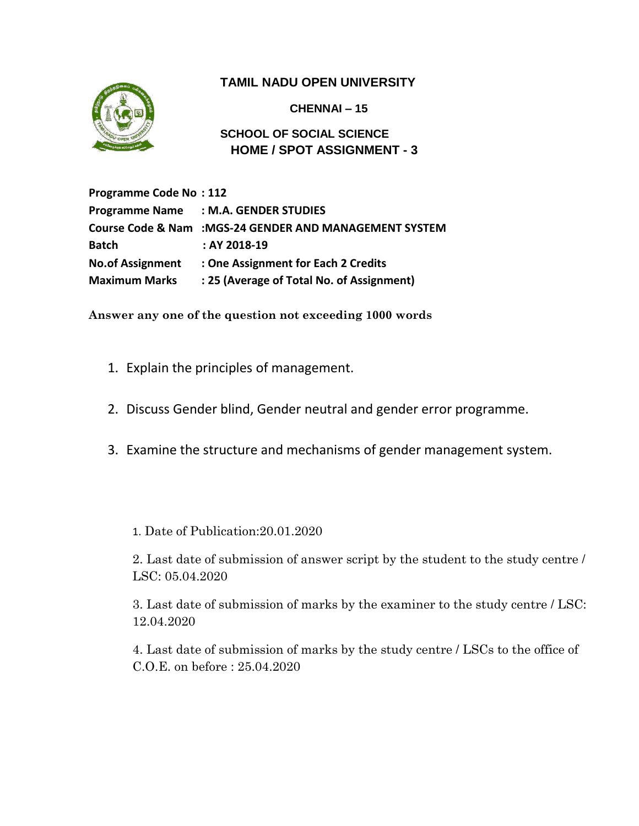

**CHENNAI – 15**

**SCHOOL OF SOCIAL SCIENCE HOME / SPOT ASSIGNMENT - 3**

**Programme Code No : 112 Programme Name : M.A. GENDER STUDIES Course Code & Nam :MGS-24 GENDER AND MANAGEMENT SYSTEM Batch : AY 2018-19 No.of Assignment : One Assignment for Each 2 Credits Maximum Marks : 25 (Average of Total No. of Assignment)**

**Answer any one of the question not exceeding 1000 words**

- 1. Explain the principles of management.
- 2. Discuss Gender blind, Gender neutral and gender error programme.
- 3. Examine the structure and mechanisms of gender management system.

1. Date of Publication:20.01.2020

2. Last date of submission of answer script by the student to the study centre / LSC: 05.04.2020

3. Last date of submission of marks by the examiner to the study centre / LSC: 12.04.2020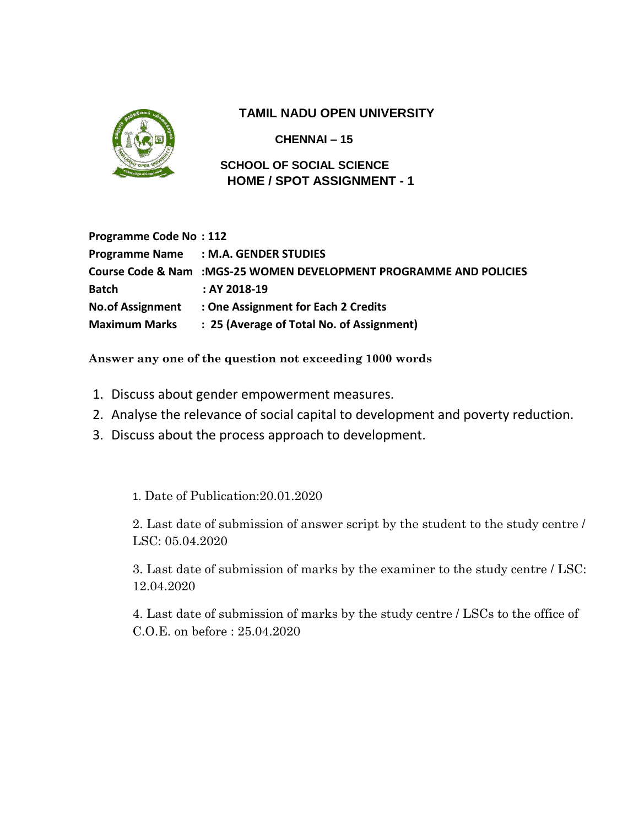

**CHENNAI – 15**

**SCHOOL OF SOCIAL SCIENCE HOME / SPOT ASSIGNMENT - 1**

| <b>Programme Code No: 112</b> |                                                                     |
|-------------------------------|---------------------------------------------------------------------|
|                               | Programme Name : M.A. GENDER STUDIES                                |
|                               | Course Code & Nam : MGS-25 WOMEN DEVELOPMENT PROGRAMME AND POLICIES |
| <b>Batch</b>                  | $:AY2018-19$                                                        |
| <b>No.of Assignment</b>       | : One Assignment for Each 2 Credits                                 |
| Maximum Marks                 | : 25 (Average of Total No. of Assignment)                           |

**Answer any one of the question not exceeding 1000 words**

- 1. Discuss about gender empowerment measures.
- 2. Analyse the relevance of social capital to development and poverty reduction.
- 3. Discuss about the process approach to development.

1. Date of Publication:20.01.2020

2. Last date of submission of answer script by the student to the study centre / LSC: 05.04.2020

3. Last date of submission of marks by the examiner to the study centre / LSC: 12.04.2020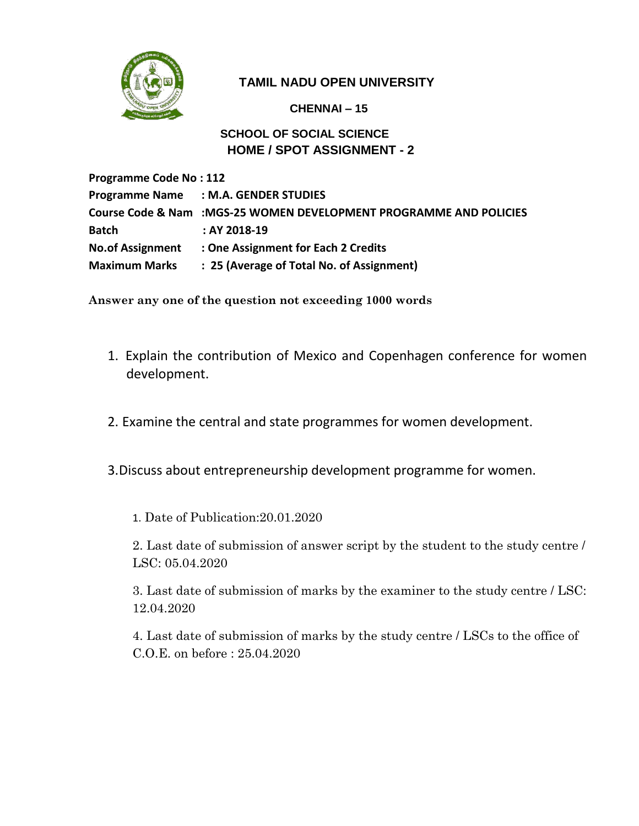

**CHENNAI – 15**

### **SCHOOL OF SOCIAL SCIENCE HOME / SPOT ASSIGNMENT - 2**

**Programme Code No : 112 Programme Name : M.A. GENDER STUDIES Course Code & Nam :MGS-25 WOMEN DEVELOPMENT PROGRAMME AND POLICIES Batch : AY 2018-19 No.of Assignment : One Assignment for Each 2 Credits Maximum Marks : 25 (Average of Total No. of Assignment)**

**Answer any one of the question not exceeding 1000 words**

- 1. Explain the contribution of Mexico and Copenhagen conference for women development.
- 2. Examine the central and state programmes for women development.
- 3.Discuss about entrepreneurship development programme for women.

1. Date of Publication:20.01.2020

2. Last date of submission of answer script by the student to the study centre / LSC: 05.04.2020

3. Last date of submission of marks by the examiner to the study centre / LSC: 12.04.2020